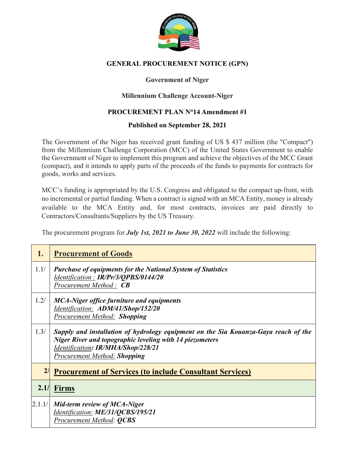

# **GENERAL PROCUREMENT NOTICE (GPN)**

# **Government of Niger**

# **Millennium Challenge Account-Niger**

### **PROCUREMENT PLAN N°14 Amendment #1**

### **Published on September 28, 2021**

The Government of the Niger has received grant funding of US \$ 437 million (the "Compact") from the Millennium Challenge Corporation (MCC) of the United States Government to enable the Government of Niger to implement this program and achieve the objectives of the MCC Grant (compact), and it intends to apply parts of the proceeds of the funds to payments for contracts for goods, works and services.

MCC's funding is appropriated by the U.S. Congress and obligated to the compact up-front, with no incremental or partial funding. When a contract is signed with an MCA Entity, money is already available to the MCA Entity and, for most contracts, invoices are paid directly to Contractors/Consultants/Suppliers by the US Treasury.

The procurement program for *July 1st, 2021 to June 30, 2022* will include the following:

| 1.     | <b>Procurement of Goods</b>                                                                                                                                                                                                         |  |
|--------|-------------------------------------------------------------------------------------------------------------------------------------------------------------------------------------------------------------------------------------|--|
| 1.1/   | <b>Purchase of equipments for the National System of Statistics</b><br>Identification: IR/Pr/3/QPBS/0144/20<br>Procurement Method: <b>CB</b>                                                                                        |  |
| 1.2/   | <b>MCA-Niger office furniture and equipments</b><br>Identification: ADM/41/Shop/152/20<br><b>Procurement Method: Shopping</b>                                                                                                       |  |
| 1.3/   | Supply and installation of hydrology equipment on the Sia Kouanza-Gaya reach of the<br><b>Niger River and topographic leveling with 14 piezometers</b><br>Identification: IR/MHA/Shop/228/21<br><b>Procurement Method: Shopping</b> |  |
| 2/     | <b>Procurement of Services (to include Consultant Services)</b>                                                                                                                                                                     |  |
| 2.1/   | Firms                                                                                                                                                                                                                               |  |
| 2.1.1/ | Mid-term review of MCA-Niger<br>Identification: ME/31/QCBS/195/21<br><b>Procurement Method: QCBS</b>                                                                                                                                |  |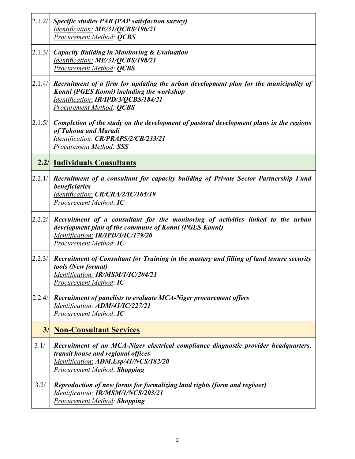| 2.1.2/ | <i>Specific studies PAR (PAP satisfaction survey)</i><br>Identification: ME/31/QCBS/196/21<br><b>Procurement Method: QCBS</b>                                                                                 |  |
|--------|---------------------------------------------------------------------------------------------------------------------------------------------------------------------------------------------------------------|--|
| 2.1.3/ | <b>Capacity Building in Monitoring &amp; Evaluation</b><br>Identification: ME/31/QCBS/198/21<br>Procurement Method: <b>QCBS</b>                                                                               |  |
| 2.1.4/ | Recruitment of a firm for updating the urban development plan for the municipality of<br>Konni (PGES Konni) including the workshop<br>Identification: IR/IPD/3/QCBS/184/21<br><b>Procurement Method: QCBS</b> |  |
| 2.1.5/ | Completion of the study on the development of pastoral development plans in the regions<br>of Tahoua and Maradi<br>Identification: CR/PRAPS/2/CB/233/21<br>Procurement Method: SSS                            |  |
|        | <b>2.2/ Individuals Consultants</b>                                                                                                                                                                           |  |
| 2.2.1/ | Recruitment of a consultant for capacity building of Private Sector Partnership Fund<br>beneficiaries<br>Identification: CR/CRA/2/IC/105/19<br>Procurement Method: IC                                         |  |
| 2.2.2/ | Recruitment of a consultant for the monitoring of activities linked to the urban<br>development plan of the commune of Konni (PGES Konni)<br>Identification: IR/IPD/3/IC/179/20<br>Procurement Method: IC     |  |
| 2.2.3/ | Recruitment of Consultant for Training in the mastery and filling of land tenure security<br>tools (New format)<br>Identification: IR/MSM/1/IC/204/21<br>Procurement Method: IC                               |  |
| 2.2.4/ | Recruitment of panelists to evaluate MCA-Niger procurement offers<br>Identification: ADM/41/IC/227/21<br><b>Procurement Method: IC</b>                                                                        |  |
| 3/     | <b>Non-Consultant Services</b>                                                                                                                                                                                |  |
| 3.1/   | Recruitment of an MCA-Niger electrical compliance diagnostic provider headquarters,<br>transit house and regional offices<br>Identification: ADM.Esp/41/NCS/182/20<br>Procurement Method: Shopping            |  |
| 3.2/   | Reproduction of new forms for formalizing land rights (form and register)<br>Identification: IR/MSM/1/NCS/203/21<br><b>Procurement Method: Shopping</b>                                                       |  |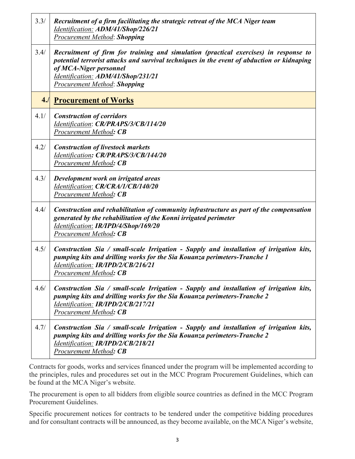| 3.3/ | Recruitment of a firm facilitating the strategic retreat of the MCA Niger team<br>Identification: ADM/41/Shop/226/21<br><b>Procurement Method: Shopping</b>                                                                                                                               |
|------|-------------------------------------------------------------------------------------------------------------------------------------------------------------------------------------------------------------------------------------------------------------------------------------------|
| 3.4/ | Recruitment of firm for training and simulation (practical exercises) in response to<br>potential terrorist attacks and survival techniques in the event of abduction or kidnaping<br>of MCA-Niger personnel<br>Identification: ADM/41/Shop/231/21<br><b>Procurement Method: Shopping</b> |
| 4.1  | <b>Procurement of Works</b>                                                                                                                                                                                                                                                               |
| 4.1/ | <b>Construction of corridors</b><br>Identification: CR/PRAPS/3/CB/114/20<br>Procurement Method: CB                                                                                                                                                                                        |
| 4.2/ | <b>Construction of livestock markets</b><br>Identification: CR/PRAPS/3/CB/144/20<br>Procurement Method: CB                                                                                                                                                                                |
| 4.3/ | Development work on irrigated areas<br>Identification: CR/CRA/1/CB/140/20<br>Procurement Method: CB                                                                                                                                                                                       |
| 4.4/ | Construction and rehabilitation of community infrastructure as part of the compensation<br>generated by the rehabilitation of the Konni irrigated perimeter<br>Identification: IR/IPD/4/Shop/169/20<br><b>Procurement Method: CB</b>                                                      |
| 4.5/ | Construction Sia / small-scale Irrigation - Supply and installation of irrigation kits,<br>pumping kits and drilling works for the Sia Kouanza perimeters-Tranche 1<br>Identification: IR/IPD/2/CB/216/21<br><b>Procurement Method: CB</b>                                                |
| 4.6/ | Construction Sia / small-scale Irrigation - Supply and installation of irrigation kits,<br>pumping kits and drilling works for the Sia Kouanza perimeters-Tranche 2<br>Identification: IR/IPD/2/CB/217/21<br><b>Procurement Method: CB</b>                                                |
| 4.7/ | Construction Sia / small-scale Irrigation - Supply and installation of irrigation kits,<br>pumping kits and drilling works for the Sia Kouanza perimeters-Tranche 2<br>Identification: IR/IPD/2/CB/218/21<br><b>Procurement Method: CB</b>                                                |

Contracts for goods, works and services financed under the program will be implemented according to the principles, rules and procedures set out in the MCC Program Procurement Guidelines, which can be found at the MCA Niger's website.

The procurement is open to all bidders from eligible source countries as defined in the MCC Program Procurement Guidelines.

Specific procurement notices for contracts to be tendered under the competitive bidding procedures and for consultant contracts will be announced, as they become available, on the MCA Niger's website,